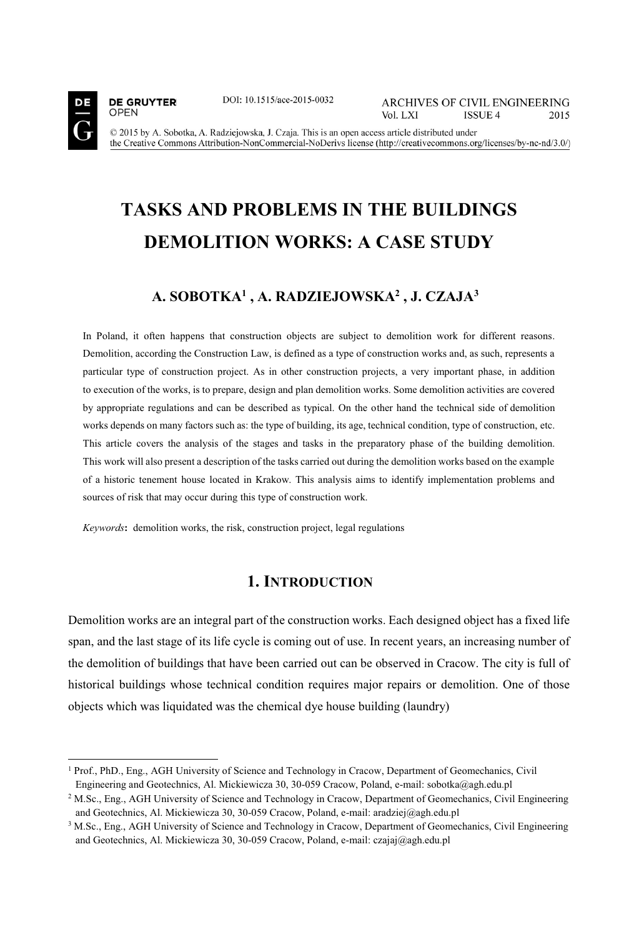

**DE GRUYTER** 

**OPEN** 

j

DOI: 10.1515/ace-2015-0032

**ARCHIVES OF CIVIL ENGINEERING** Vol. LXI ISSUE 4 2015

© 2015 by A. Sobotka, A. Radziejowska, J. Czaja. This is an open access article distributed under the Creative Commons Attribution-NonCommercial-NoDerivs license (http://creativecommons.org/licenses/by-nc-nd/3.0/)

# **TASKS AND PROBLEMS IN THE BUILDINGS DEMOLITION WORKS: A CASE STUDY**

## **A. SOBOTKA1 , A. RADZIEJOWSKA2 , J. CZAJA3**

In Poland, it often happens that construction objects are subject to demolition work for different reasons. Demolition, according the Construction Law, is defined as a type of construction works and, as such, represents a particular type of construction project. As in other construction projects, a very important phase, in addition to execution of the works, is to prepare, design and plan demolition works. Some demolition activities are covered by appropriate regulations and can be described as typical. On the other hand the technical side of demolition works depends on many factors such as: the type of building, its age, technical condition, type of construction, etc. This article covers the analysis of the stages and tasks in the preparatory phase of the building demolition. This work will also present a description of the tasks carried out during the demolition works based on the example of a historic tenement house located in Krakow. This analysis aims to identify implementation problems and sources of risk that may occur during this type of construction work.

*Keywords***:** demolition works, the risk, construction project, legal regulations

## **1. INTRODUCTION**

Demolition works are an integral part of the construction works. Each designed object has a fixed life span, and the last stage of its life cycle is coming out of use. In recent years, an increasing number of the demolition of buildings that have been carried out can be observed in Cracow. The city is full of historical buildings whose technical condition requires major repairs or demolition. One of those objects which was liquidated was the chemical dye house building (laundry)

<sup>&</sup>lt;sup>1</sup> Prof., PhD., Eng., AGH University of Science and Technology in Cracow, Department of Geomechanics, Civil Engineering and Geotechnics, Al. Mickiewicza 30, 30-059 Cracow, Poland, e-mail: sobotka@agh.edu.pl

<sup>&</sup>lt;sup>2</sup> M.Sc., Eng., AGH University of Science and Technology in Cracow, Department of Geomechanics, Civil Engineering and Geotechnics, Al. Mickiewicza 30, 30-059 Cracow, Poland, e-mail: aradziej@agh.edu.pl  $3$  M.Sc., Eng., AGH University of Science and Technology in Cracow, Department of Geomechanics, Civil Engineering

and Geotechnics, Al. Mickiewicza 30, 30-059 Cracow, Poland, e-mail: czajaj@agh.edu.pl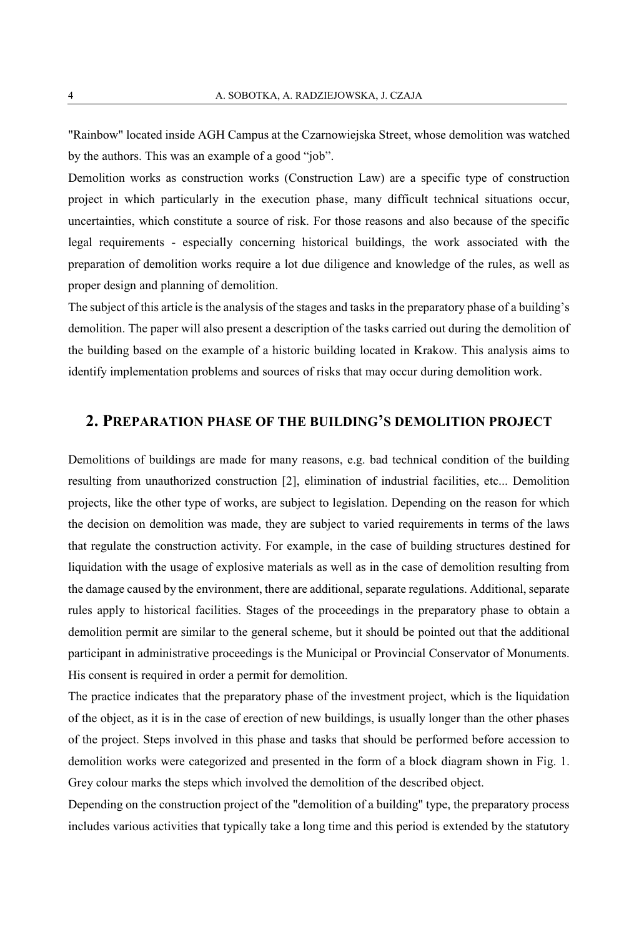"Rainbow" located inside AGH Campus at the Czarnowiejska Street, whose demolition was watched by the authors. This was an example of a good "job".

Demolition works as construction works (Construction Law) are a specific type of construction project in which particularly in the execution phase, many difficult technical situations occur, uncertainties, which constitute a source of risk. For those reasons and also because of the specific legal requirements - especially concerning historical buildings, the work associated with the preparation of demolition works require a lot due diligence and knowledge of the rules, as well as proper design and planning of demolition.

The subject of this article is the analysis of the stages and tasks in the preparatory phase of a building's demolition. The paper will also present a description of the tasks carried out during the demolition of the building based on the example of a historic building located in Krakow. This analysis aims to identify implementation problems and sources of risks that may occur during demolition work.

## **2. PREPARATION PHASE OF THE BUILDING'S DEMOLITION PROJECT**

Demolitions of buildings are made for many reasons, e.g. bad technical condition of the building resulting from unauthorized construction [2], elimination of industrial facilities, etc... Demolition projects, like the other type of works, are subject to legislation. Depending on the reason for which the decision on demolition was made, they are subject to varied requirements in terms of the laws that regulate the construction activity. For example, in the case of building structures destined for liquidation with the usage of explosive materials as well as in the case of demolition resulting from the damage caused by the environment, there are additional, separate regulations. Additional, separate rules apply to historical facilities. Stages of the proceedings in the preparatory phase to obtain a demolition permit are similar to the general scheme, but it should be pointed out that the additional participant in administrative proceedings is the Municipal or Provincial Conservator of Monuments. His consent is required in order a permit for demolition.

The practice indicates that the preparatory phase of the investment project, which is the liquidation of the object, as it is in the case of erection of new buildings, is usually longer than the other phases of the project. Steps involved in this phase and tasks that should be performed before accession to demolition works were categorized and presented in the form of a block diagram shown in Fig. 1. Grey colour marks the steps which involved the demolition of the described object.

Depending on the construction project of the "demolition of a building" type, the preparatory process includes various activities that typically take a long time and this period is extended by the statutory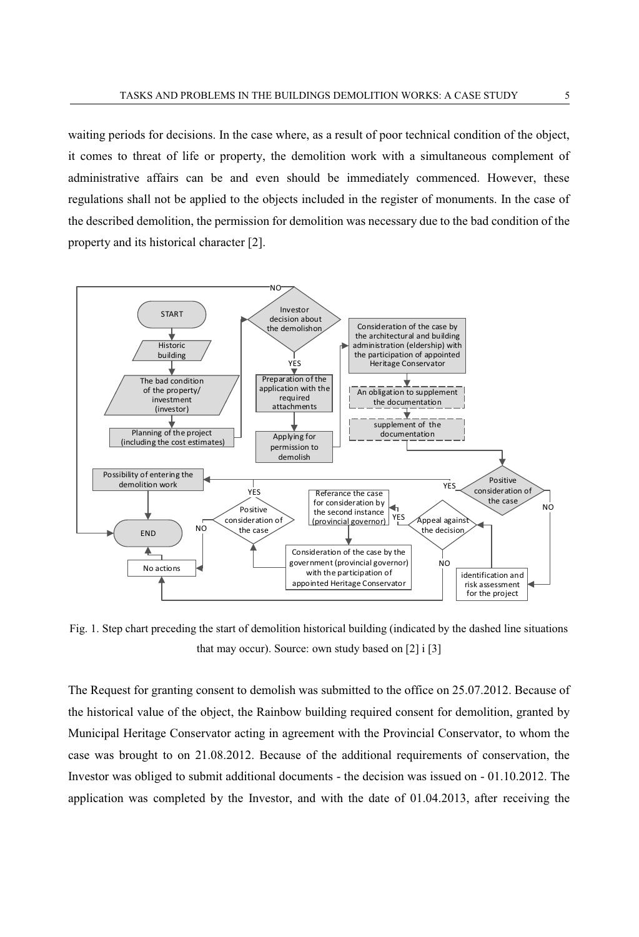waiting periods for decisions. In the case where, as a result of poor technical condition of the object, it comes to threat of life or property, the demolition work with a simultaneous complement of administrative affairs can be and even should be immediately commenced. However, these regulations shall not be applied to the objects included in the register of monuments. In the case of the described demolition, the permission for demolition was necessary due to the bad condition of the property and its historical character [2].



Fig. 1. Step chart preceding the start of demolition historical building (indicated by the dashed line situations that may occur). Source: own study based on [2] i [3]

The Request for granting consent to demolish was submitted to the office on 25.07.2012. Because of the historical value of the object, the Rainbow building required consent for demolition, granted by Municipal Heritage Conservator acting in agreement with the Provincial Conservator, to whom the case was brought to on 21.08.2012. Because of the additional requirements of conservation, the Investor was obliged to submit additional documents - the decision was issued on - 01.10.2012. The application was completed by the Investor, and with the date of 01.04.2013, after receiving the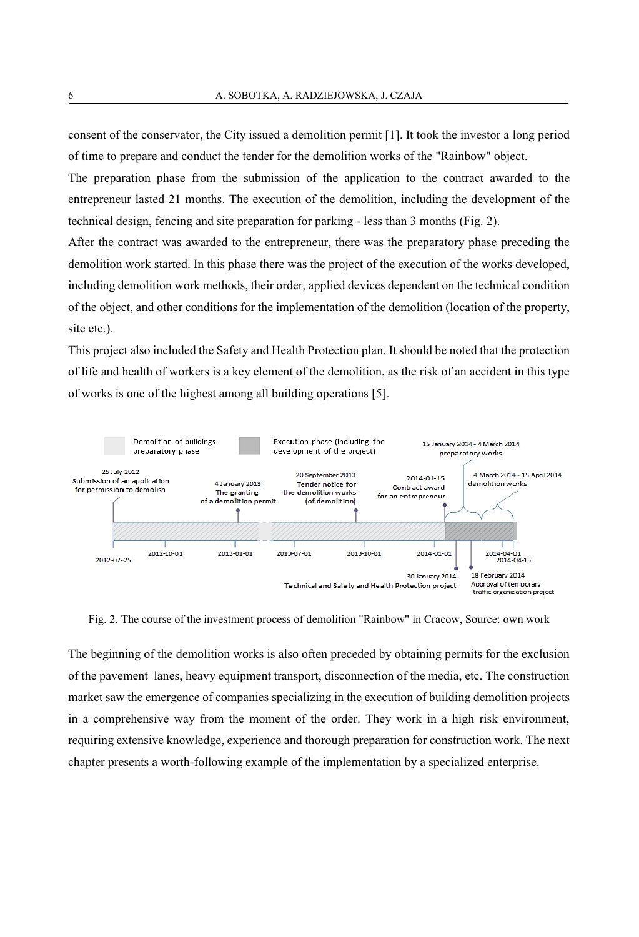consent of the conservator, the City issued a demolition permit [1]. It took the investor a long period of time to prepare and conduct the tender for the demolition works of the "Rainbow" object.

The preparation phase from the submission of the application to the contract awarded to the entrepreneur lasted 21 months. The execution of the demolition, including the development of the technical design, fencing and site preparation for parking - less than 3 months (Fig. 2).

After the contract was awarded to the entrepreneur, there was the preparatory phase preceding the demolition work started. In this phase there was the project of the execution of the works developed, including demolition work methods, their order, applied devices dependent on the technical condition of the object, and other conditions for the implementation of the demolition (location of the property, site etc.).

This project also included the Safety and Health Protection plan. It should be noted that the protection of life and health of workers is a key element of the demolition, as the risk of an accident in this type of works is one of the highest among all building operations [5].



Fig. 2. The course of the investment process of demolition "Rainbow" in Cracow, Source: own work

The beginning of the demolition works is also often preceded by obtaining permits for the exclusion of the pavement lanes, heavy equipment transport, disconnection of the media, etc. The construction market saw the emergence of companies specializing in the execution of building demolition projects in a comprehensive way from the moment of the order. They work in a high risk environment, requiring extensive knowledge, experience and thorough preparation for construction work. The next chapter presents a worth-following example of the implementation by a specialized enterprise.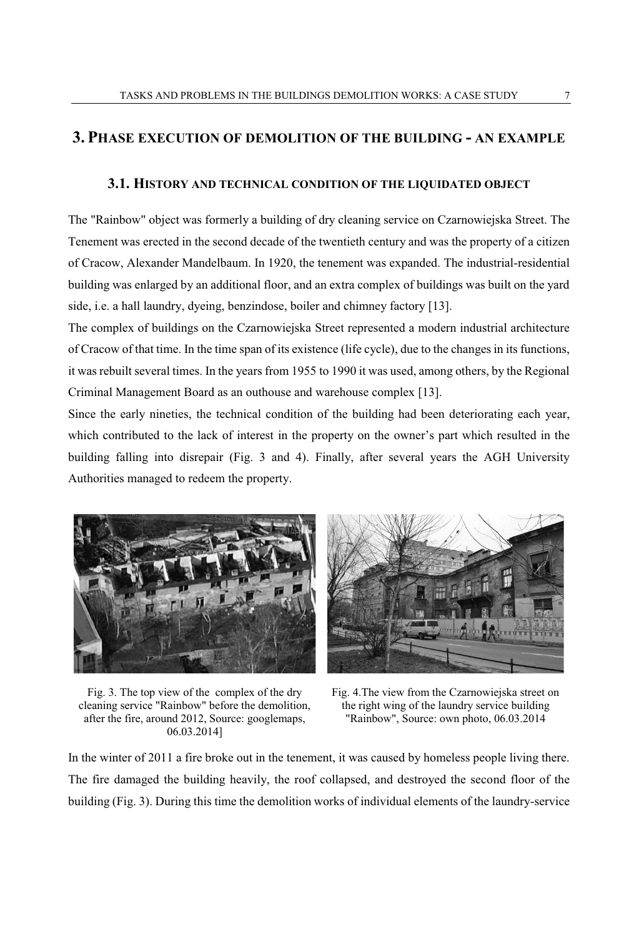### **3. PHASE EXECUTION OF DEMOLITION OF THE BUILDING - AN EXAMPLE**

#### **3.1. HISTORY AND TECHNICAL CONDITION OF THE LIQUIDATED OBJECT**

The "Rainbow" object was formerly a building of dry cleaning service on Czarnowiejska Street. The Tenement was erected in the second decade of the twentieth century and was the property of a citizen of Cracow, Alexander Mandelbaum. In 1920, the tenement was expanded. The industrial-residential building was enlarged by an additional floor, and an extra complex of buildings was built on the yard side, i.e. a hall laundry, dyeing, benzindose, boiler and chimney factory [13].

The complex of buildings on the Czarnowiejska Street represented a modern industrial architecture of Cracow of that time. In the time span of its existence (life cycle), due to the changes in its functions, it was rebuilt several times. In the years from 1955 to 1990 it was used, among others, by the Regional Criminal Management Board as an outhouse and warehouse complex [13].

Since the early nineties, the technical condition of the building had been deteriorating each year, which contributed to the lack of interest in the property on the owner's part which resulted in the building falling into disrepair (Fig. 3 and 4). Finally, after several years the AGH University Authorities managed to redeem the property.





Fig. 3. The top view of the complex of the dry cleaning service "Rainbow" before the demolition, after the fire, around 2012, Source: googlemaps, 06.03.2014]

Fig. 4.The view from the Czarnowiejska street on the right wing of the laundry service building "Rainbow", Source: own photo, 06.03.2014

In the winter of 2011 a fire broke out in the tenement, it was caused by homeless people living there. The fire damaged the building heavily, the roof collapsed, and destroyed the second floor of the building (Fig. 3). During this time the demolition works of individual elements of the laundry-service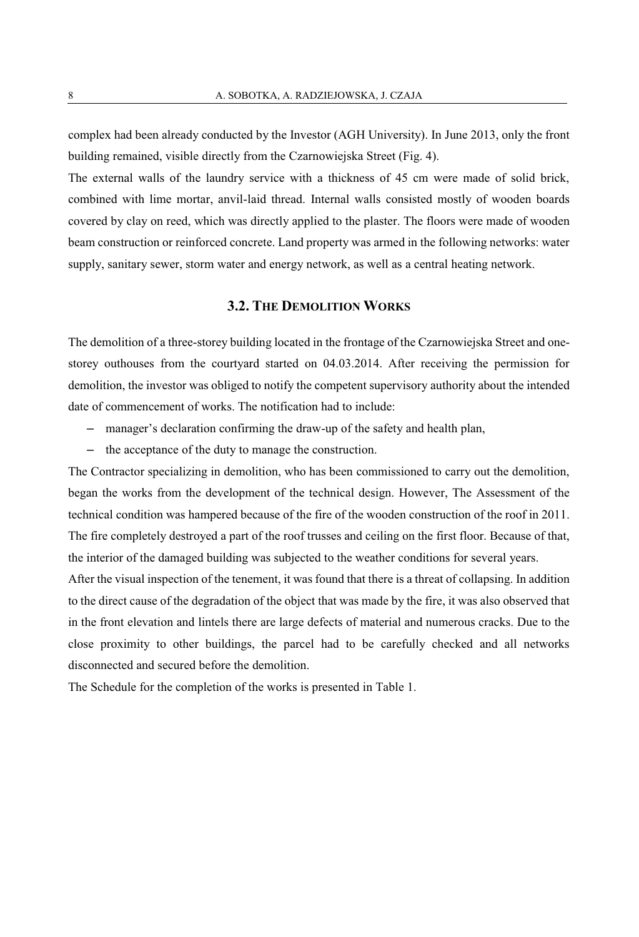complex had been already conducted by the Investor (AGH University). In June 2013, only the front building remained, visible directly from the Czarnowiejska Street (Fig. 4).

The external walls of the laundry service with a thickness of 45 cm were made of solid brick, combined with lime mortar, anvil-laid thread. Internal walls consisted mostly of wooden boards covered by clay on reed, which was directly applied to the plaster. The floors were made of wooden beam construction or reinforced concrete. Land property was armed in the following networks: water supply, sanitary sewer, storm water and energy network, as well as a central heating network.

#### **3.2. THE DEMOLITION WORKS**

The demolition of a three-storey building located in the frontage of the Czarnowiejska Street and onestorey outhouses from the courtyard started on 04.03.2014. After receiving the permission for demolition, the investor was obliged to notify the competent supervisory authority about the intended date of commencement of works. The notification had to include:

- ‒ manager's declaration confirming the draw-up of the safety and health plan,
- ‒ the acceptance of the duty to manage the construction.

The Contractor specializing in demolition, who has been commissioned to carry out the demolition, began the works from the development of the technical design. However, The Assessment of the technical condition was hampered because of the fire of the wooden construction of the roof in 2011. The fire completely destroyed a part of the roof trusses and ceiling on the first floor. Because of that, the interior of the damaged building was subjected to the weather conditions for several years.

After the visual inspection of the tenement, it was found that there is a threat of collapsing. In addition to the direct cause of the degradation of the object that was made by the fire, it was also observed that in the front elevation and lintels there are large defects of material and numerous cracks. Due to the close proximity to other buildings, the parcel had to be carefully checked and all networks disconnected and secured before the demolition.

The Schedule for the completion of the works is presented in Table 1.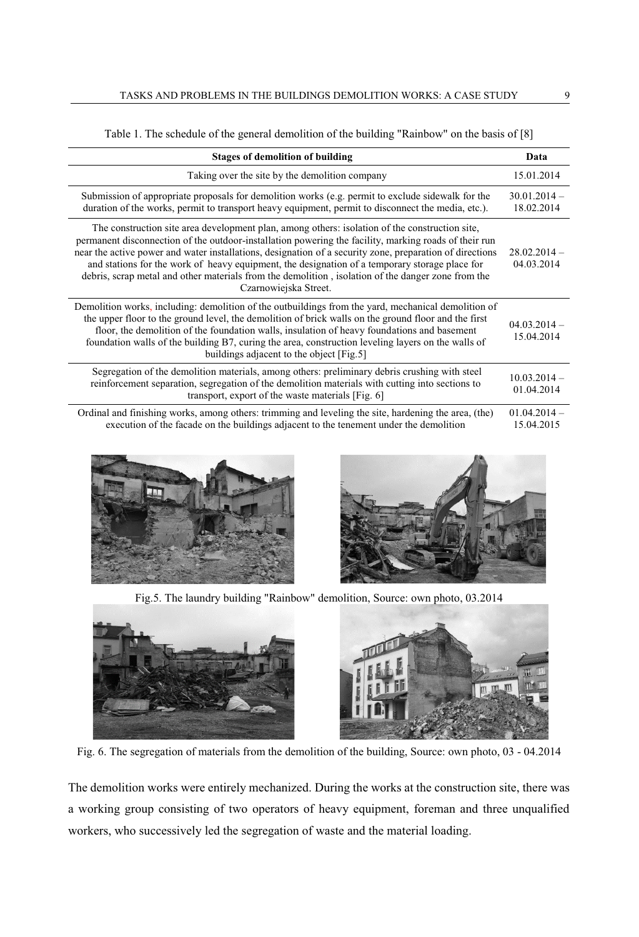| <b>Stages of demolition of building</b>                                                                                                                                                                                                                                                                                                                                                                                                                                                                                                              | Data                         |
|------------------------------------------------------------------------------------------------------------------------------------------------------------------------------------------------------------------------------------------------------------------------------------------------------------------------------------------------------------------------------------------------------------------------------------------------------------------------------------------------------------------------------------------------------|------------------------------|
| Taking over the site by the demolition company                                                                                                                                                                                                                                                                                                                                                                                                                                                                                                       | 15.01.2014                   |
| Submission of appropriate proposals for demolition works (e.g. permit to exclude sidewalk for the<br>duration of the works, permit to transport heavy equipment, permit to disconnect the media, etc.).                                                                                                                                                                                                                                                                                                                                              | $30.01.2014 -$<br>18.02.2014 |
| The construction site area development plan, among others: isolation of the construction site,<br>permanent disconnection of the outdoor-installation powering the facility, marking roads of their run<br>near the active power and water installations, designation of a security zone, preparation of directions<br>and stations for the work of heavy equipment, the designation of a temporary storage place for<br>debris, scrap metal and other materials from the demolition, isolation of the danger zone from the<br>Czarnowiejska Street. | $28.02.2014 -$<br>04.03.2014 |
| Demolition works, including: demolition of the outbuildings from the yard, mechanical demolition of<br>the upper floor to the ground level, the demolition of brick walls on the ground floor and the first<br>floor, the demolition of the foundation walls, insulation of heavy foundations and basement<br>foundation walls of the building B7, curing the area, construction leveling layers on the walls of<br>buildings adjacent to the object [Fig.5]                                                                                         | $04.03.2014 -$<br>15.04.2014 |
| Segregation of the demolition materials, among others: preliminary debris crushing with steel<br>reinforcement separation, segregation of the demolition materials with cutting into sections to<br>transport, export of the waste materials [Fig. 6]                                                                                                                                                                                                                                                                                                | $10.03.2014 -$<br>01.04.2014 |
| Ordinal and finishing works, among others: trimming and leveling the site, hardening the area, (the)<br>execution of the facade on the buildings adjacent to the tenement under the demolition                                                                                                                                                                                                                                                                                                                                                       | $01.04.2014 -$<br>15.04.2015 |

Table 1. The schedule of the general demolition of the building "Rainbow" on the basis of [8]





Fig.5. The laundry building "Rainbow" demolition, Source: own photo, 03.2014



Fig. 6. The segregation of materials from the demolition of the building, Source: own photo, 03 - 04.2014

The demolition works were entirely mechanized. During the works at the construction site, there was a working group consisting of two operators of heavy equipment, foreman and three unqualified workers, who successively led the segregation of waste and the material loading.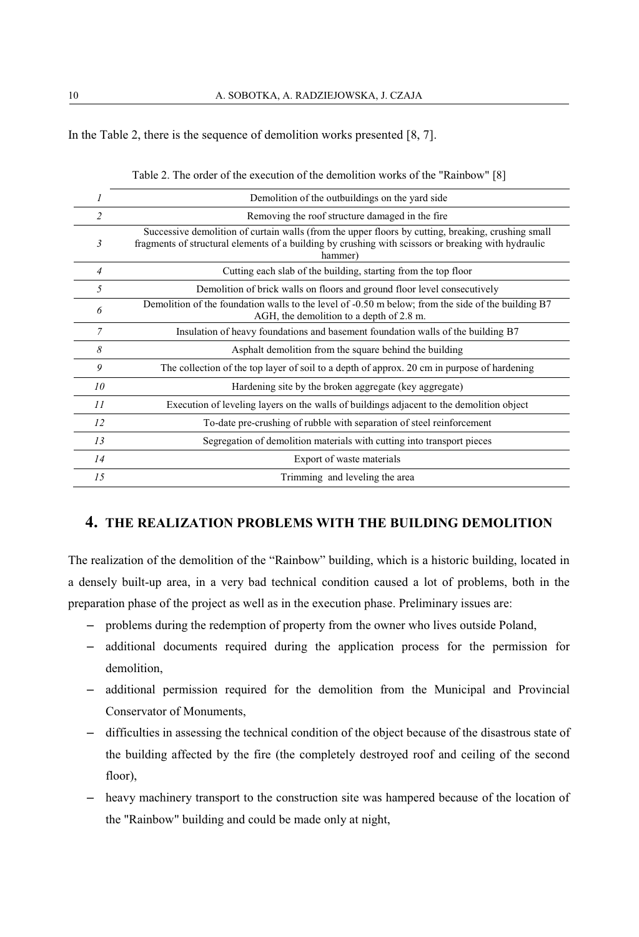In the Table 2, there is the sequence of demolition works presented [8, 7].

|                         | Demolition of the outbuildings on the yard side                                                                                                                                                                      |
|-------------------------|----------------------------------------------------------------------------------------------------------------------------------------------------------------------------------------------------------------------|
| $\overline{\mathbf{c}}$ | Removing the roof structure damaged in the fire                                                                                                                                                                      |
| 3                       | Successive demolition of curtain walls (from the upper floors by cutting, breaking, crushing small<br>fragments of structural elements of a building by crushing with scissors or breaking with hydraulic<br>hammer) |
| 4                       | Cutting each slab of the building, starting from the top floor                                                                                                                                                       |
| 5                       | Demolition of brick walls on floors and ground floor level consecutively                                                                                                                                             |
| 6                       | Demolition of the foundation walls to the level of -0.50 m below; from the side of the building B7<br>AGH, the demolition to a depth of 2.8 m.                                                                       |
| 7                       | Insulation of heavy foundations and basement foundation walls of the building B7                                                                                                                                     |
| 8                       | Asphalt demolition from the square behind the building                                                                                                                                                               |
| 9                       | The collection of the top layer of soil to a depth of approx. 20 cm in purpose of hardening                                                                                                                          |
| 10 <sup>2</sup>         | Hardening site by the broken aggregate (key aggregate)                                                                                                                                                               |
| 11                      | Execution of leveling layers on the walls of buildings adjacent to the demolition object                                                                                                                             |
| 12                      | To-date pre-crushing of rubble with separation of steel reinforcement                                                                                                                                                |
| 13                      | Segregation of demolition materials with cutting into transport pieces                                                                                                                                               |
| 14                      | Export of waste materials                                                                                                                                                                                            |
| 15                      | Trimming and leveling the area                                                                                                                                                                                       |

|  |  |  |  |  |  |  |  | Table 2. The order of the execution of the demolition works of the "Rainbow" [8] |  |
|--|--|--|--|--|--|--|--|----------------------------------------------------------------------------------|--|
|--|--|--|--|--|--|--|--|----------------------------------------------------------------------------------|--|

### **4. THE REALIZATION PROBLEMS WITH THE BUILDING DEMOLITION**

The realization of the demolition of the "Rainbow" building, which is a historic building, located in a densely built-up area, in a very bad technical condition caused a lot of problems, both in the preparation phase of the project as well as in the execution phase. Preliminary issues are:

- ‒ problems during the redemption of property from the owner who lives outside Poland,
- ‒ additional documents required during the application process for the permission for demolition,
- ‒ additional permission required for the demolition from the Municipal and Provincial Conservator of Monuments,
- ‒ difficulties in assessing the technical condition of the object because of the disastrous state of the building affected by the fire (the completely destroyed roof and ceiling of the second floor),
- ‒ heavy machinery transport to the construction site was hampered because of the location of the "Rainbow" building and could be made only at night,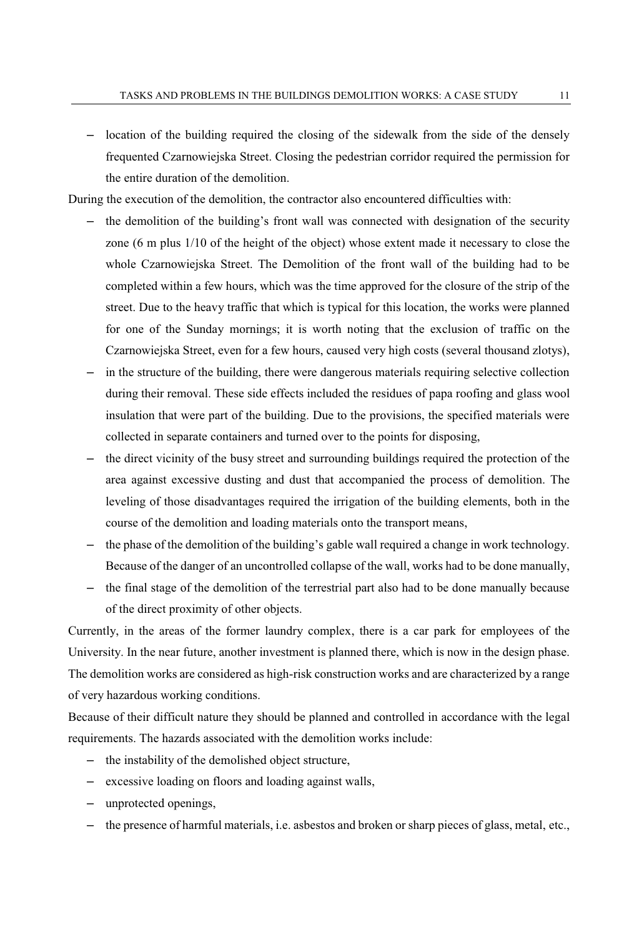- location of the building required the closing of the sidewalk from the side of the densely frequented Czarnowiejska Street. Closing the pedestrian corridor required the permission for the entire duration of the demolition.

During the execution of the demolition, the contractor also encountered difficulties with:

- ‒ the demolition of the building's front wall was connected with designation of the security zone (6 m plus 1/10 of the height of the object) whose extent made it necessary to close the whole Czarnowiejska Street. The Demolition of the front wall of the building had to be completed within a few hours, which was the time approved for the closure of the strip of the street. Due to the heavy traffic that which is typical for this location, the works were planned for one of the Sunday mornings; it is worth noting that the exclusion of traffic on the Czarnowiejska Street, even for a few hours, caused very high costs (several thousand zlotys),
- ‒ in the structure of the building, there were dangerous materials requiring selective collection during their removal. These side effects included the residues of papa roofing and glass wool insulation that were part of the building. Due to the provisions, the specified materials were collected in separate containers and turned over to the points for disposing,
- ‒ the direct vicinity of the busy street and surrounding buildings required the protection of the area against excessive dusting and dust that accompanied the process of demolition. The leveling of those disadvantages required the irrigation of the building elements, both in the course of the demolition and loading materials onto the transport means,
- ‒ the phase of the demolition of the building's gable wall required a change in work technology. Because of the danger of an uncontrolled collapse of the wall, works had to be done manually,
- the final stage of the demolition of the terrestrial part also had to be done manually because of the direct proximity of other objects.

Currently, in the areas of the former laundry complex, there is a car park for employees of the University. In the near future, another investment is planned there, which is now in the design phase. The demolition works are considered as high-risk construction works and are characterized by a range of very hazardous working conditions.

Because of their difficult nature they should be planned and controlled in accordance with the legal requirements. The hazards associated with the demolition works include:

- ‒ the instability of the demolished object structure,
- ‒ excessive loading on floors and loading against walls,
- ‒ unprotected openings,
- ‒ the presence of harmful materials, i.e. asbestos and broken or sharp pieces of glass, metal, etc.,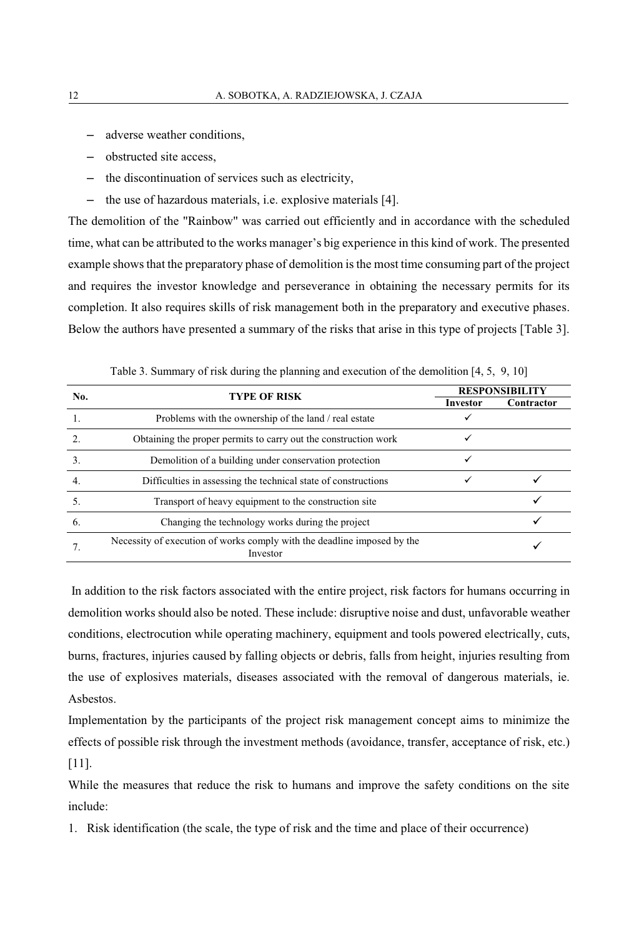- ‒ adverse weather conditions,
- ‒ obstructed site access,
- ‒ the discontinuation of services such as electricity,
- ‒ the use of hazardous materials, i.e. explosive materials [4].

The demolition of the "Rainbow" was carried out efficiently and in accordance with the scheduled time, what can be attributed to the works manager's big experience in this kind of work. The presented example shows that the preparatory phase of demolition is the most time consuming part of the project and requires the investor knowledge and perseverance in obtaining the necessary permits for its completion. It also requires skills of risk management both in the preparatory and executive phases. Below the authors have presented a summary of the risks that arise in this type of projects [Table 3].

| No.              | <b>TYPE OF RISK</b>                                                                 | <b>RESPONSIBILITY</b> |            |  |  |  |  |
|------------------|-------------------------------------------------------------------------------------|-----------------------|------------|--|--|--|--|
|                  |                                                                                     | <b>Investor</b>       | Contractor |  |  |  |  |
| 1.               | Problems with the ownership of the land / real estate                               |                       |            |  |  |  |  |
| $\overline{2}$ . | Obtaining the proper permits to carry out the construction work                     |                       |            |  |  |  |  |
| 3.               | Demolition of a building under conservation protection                              |                       |            |  |  |  |  |
| $\overline{4}$ . | Difficulties in assessing the technical state of constructions                      |                       |            |  |  |  |  |
| .5.              | Transport of heavy equipment to the construction site                               |                       |            |  |  |  |  |
| 6.               | Changing the technology works during the project                                    |                       |            |  |  |  |  |
|                  | Necessity of execution of works comply with the deadline imposed by the<br>Investor |                       |            |  |  |  |  |

Table 3. Summary of risk during the planning and execution of the demolition [4, 5, 9, 10]

 In addition to the risk factors associated with the entire project, risk factors for humans occurring in demolition works should also be noted. These include: disruptive noise and dust, unfavorable weather conditions, electrocution while operating machinery, equipment and tools powered electrically, cuts, burns, fractures, injuries caused by falling objects or debris, falls from height, injuries resulting from the use of explosives materials, diseases associated with the removal of dangerous materials, ie. Asbestos.

Implementation by the participants of the project risk management concept aims to minimize the effects of possible risk through the investment methods (avoidance, transfer, acceptance of risk, etc.) [11].

While the measures that reduce the risk to humans and improve the safety conditions on the site include:

1. Risk identification (the scale, the type of risk and the time and place of their occurrence)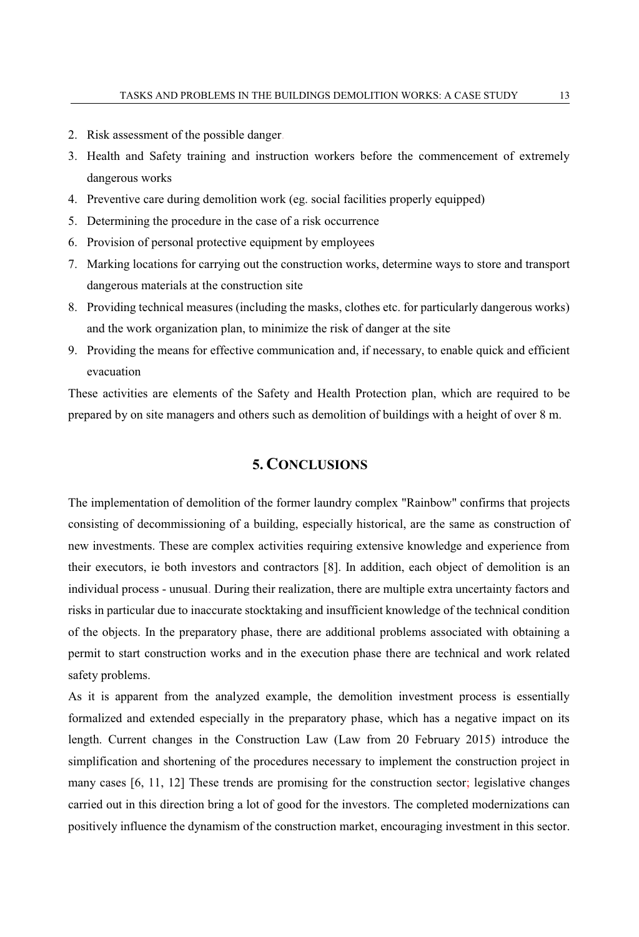- 2. Risk assessment of the possible danger.
- 3. Health and Safety training and instruction workers before the commencement of extremely dangerous works
- 4. Preventive care during demolition work (eg. social facilities properly equipped)
- 5. Determining the procedure in the case of a risk occurrence
- 6. Provision of personal protective equipment by employees
- 7. Marking locations for carrying out the construction works, determine ways to store and transport dangerous materials at the construction site
- 8. Providing technical measures (including the masks, clothes etc. for particularly dangerous works) and the work organization plan, to minimize the risk of danger at the site
- 9. Providing the means for effective communication and, if necessary, to enable quick and efficient evacuation

These activities are elements of the Safety and Health Protection plan, which are required to be prepared by on site managers and others such as demolition of buildings with a height of over 8 m.

## **5. CONCLUSIONS**

The implementation of demolition of the former laundry complex "Rainbow" confirms that projects consisting of decommissioning of a building, especially historical, are the same as construction of new investments. These are complex activities requiring extensive knowledge and experience from their executors, ie both investors and contractors [8]. In addition, each object of demolition is an individual process - unusual. During their realization, there are multiple extra uncertainty factors and risks in particular due to inaccurate stocktaking and insufficient knowledge of the technical condition of the objects. In the preparatory phase, there are additional problems associated with obtaining a permit to start construction works and in the execution phase there are technical and work related safety problems.

As it is apparent from the analyzed example, the demolition investment process is essentially formalized and extended especially in the preparatory phase, which has a negative impact on its length. Current changes in the Construction Law (Law from 20 February 2015) introduce the simplification and shortening of the procedures necessary to implement the construction project in many cases [6, 11, 12] These trends are promising for the construction sector; legislative changes carried out in this direction bring a lot of good for the investors. The completed modernizations can positively influence the dynamism of the construction market, encouraging investment in this sector.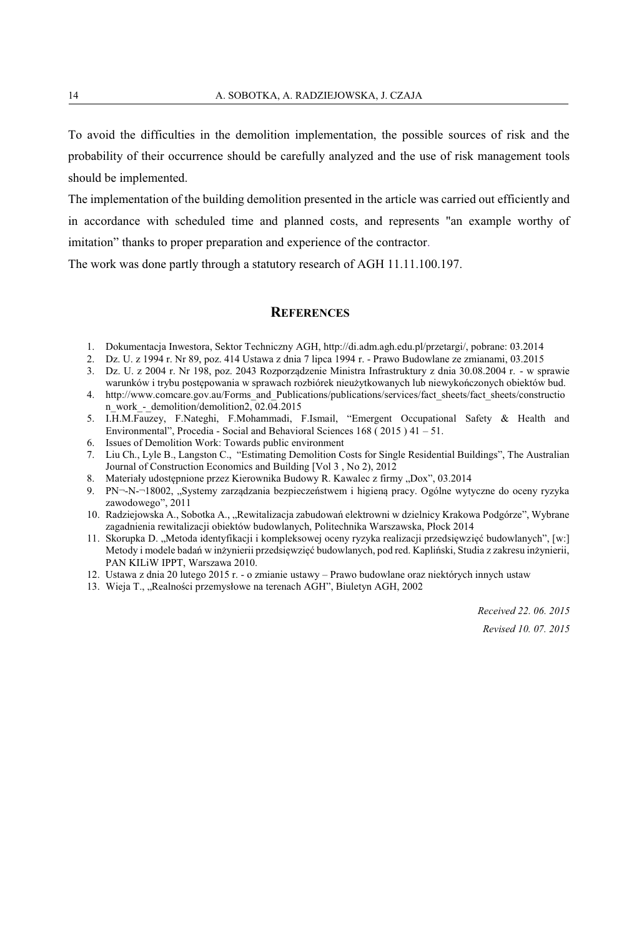To avoid the difficulties in the demolition implementation, the possible sources of risk and the probability of their occurrence should be carefully analyzed and the use of risk management tools should be implemented.

The implementation of the building demolition presented in the article was carried out efficiently and in accordance with scheduled time and planned costs, and represents "an example worthy of imitation" thanks to proper preparation and experience of the contractor.

The work was done partly through a statutory research of AGH 11.11.100.197.

#### **REFERENCES**

- 1. Dokumentacja Inwestora, Sektor Techniczny AGH, http://di.adm.agh.edu.pl/przetargi/, pobrane: 03.2014
- 2. Dz. U. z 1994 r. Nr 89, poz. 414 Ustawa z dnia 7 lipca 1994 r. Prawo Budowlane ze zmianami, 03.2015
- 3. Dz. U. z 2004 r. Nr 198, poz. 2043 Rozporządzenie Ministra Infrastruktury z dnia 30.08.2004 r. w sprawie warunków i trybu postępowania w sprawach rozbiórek nieużytkowanych lub niewykończonych obiektów bud.
- 4. http://www.comcare.gov.au/Forms\_and\_Publications/publications/services/fact\_sheets/fact\_sheets/constructio n\_work -\_demolition/demolition2, 02.04.2015
- 5. I.H.M.Fauzey, F.Nateghi, F.Mohammadi, F.Ismail, "Emergent Occupational Safety & Health and Environmental", Procedia - Social and Behavioral Sciences 168 ( 2015 ) 41 – 51.
- 6. Issues of Demolition Work: Towards public environment
- 7. Liu Ch., Lyle B., Langston C., "Estimating Demolition Costs for Single Residential Buildings", The Australian Journal of Construction Economics and Building [Vol 3 , No 2), 2012
- 8. Materiały udostępnione przez Kierownika Budowy R. Kawalec z firmy "Dox", 03.2014
- 9. PN¬-N-¬18002, "Systemy zarządzania bezpieczeństwem i higieną pracy. Ogólne wytyczne do oceny ryzyka zawodowego", 2011
- 10. Radziejowska A., Sobotka A., "Rewitalizacja zabudowań elektrowni w dzielnicy Krakowa Podgórze", Wybrane zagadnienia rewitalizacji obiektów budowlanych, Politechnika Warszawska, Płock 2014
- 11. Skorupka D. "Metoda identyfikacji i kompleksowej oceny ryzyka realizacji przedsięwzięć budowlanych", [w:] Metody i modele badań w inżynierii przedsięwzięć budowlanych, pod red. Kapliński, Studia z zakresu inżynierii, PAN KILiW IPPT, Warszawa 2010.
- 12. Ustawa z dnia 20 lutego 2015 r. o zmianie ustawy Prawo budowlane oraz niektórych innych ustaw
- 13. Wieja T., "Realności przemysłowe na terenach AGH", Biuletyn AGH, 2002

*Received 22. 06. 2015 Revised 10. 07. 2015*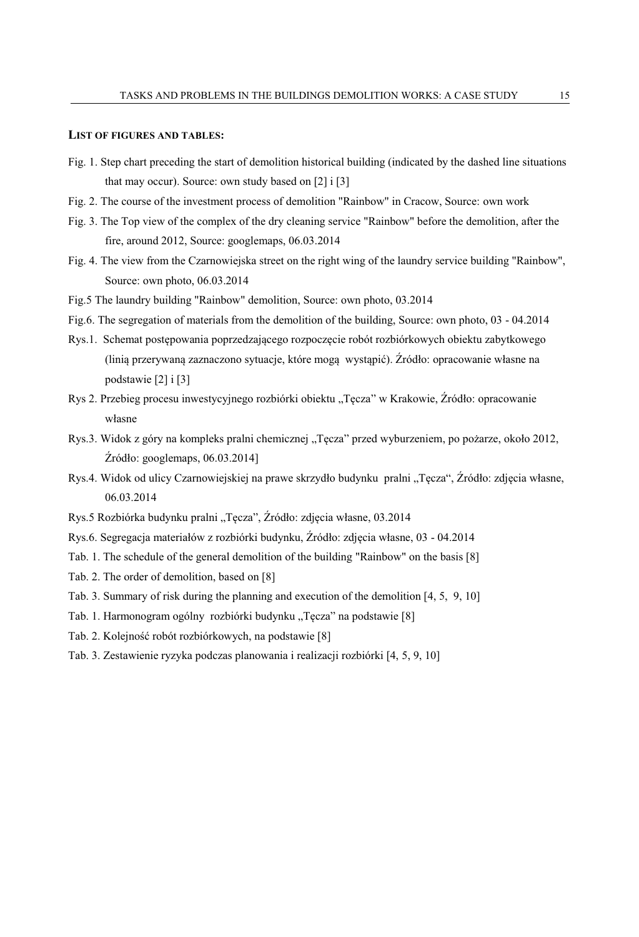#### **LIST OF FIGURES AND TABLES:**

- Fig. 1. Step chart preceding the start of demolition historical building (indicated by the dashed line situations that may occur). Source: own study based on [2] i [3]
- Fig. 2. The course of the investment process of demolition "Rainbow" in Cracow, Source: own work
- Fig. 3. The Top view of the complex of the dry cleaning service "Rainbow" before the demolition, after the fire, around 2012, Source: googlemaps, 06.03.2014
- Fig. 4. The view from the Czarnowiejska street on the right wing of the laundry service building "Rainbow", Source: own photo, 06.03.2014
- Fig.5 The laundry building "Rainbow" demolition, Source: own photo, 03.2014
- Fig.6. The segregation of materials from the demolition of the building, Source: own photo, 03 04.2014
- Rys.1. Schemat postępowania poprzedzającego rozpoczęcie robót rozbiórkowych obiektu zabytkowego (linią przerywaną zaznaczono sytuacje, które mogą wystąpić). Źródło: opracowanie własne na podstawie [2] i [3]
- Rys 2. Przebieg procesu inwestycyjnego rozbiórki obiektu "Tęcza" w Krakowie, Źródło: opracowanie własne
- Rys.3. Widok z góry na kompleks pralni chemicznej "Tęcza" przed wyburzeniem, po pożarze, około 2012, Źródło: googlemaps, 06.03.2014]
- Rys.4. Widok od ulicy Czarnowiejskiej na prawe skrzydło budynku pralni "Tęcza", Źródło: zdjęcia własne, 06.03.2014
- Rys.5 Rozbiórka budynku pralni "Tęcza", Źródło: zdjęcia własne, 03.2014
- Rys.6. Segregacja materiałów z rozbiórki budynku, Źródło: zdjęcia własne, 03 04.2014
- Tab. 1. The schedule of the general demolition of the building "Rainbow" on the basis [8]
- Tab. 2. The order of demolition, based on [8]
- Tab. 3. Summary of risk during the planning and execution of the demolition [4, 5, 9, 10]
- Tab. 1. Harmonogram ogólny rozbiórki budynku "Tęcza" na podstawie [8]
- Tab. 2. Kolejność robót rozbiórkowych, na podstawie [8]
- Tab. 3. Zestawienie ryzyka podczas planowania i realizacji rozbiórki [4, 5, 9, 10]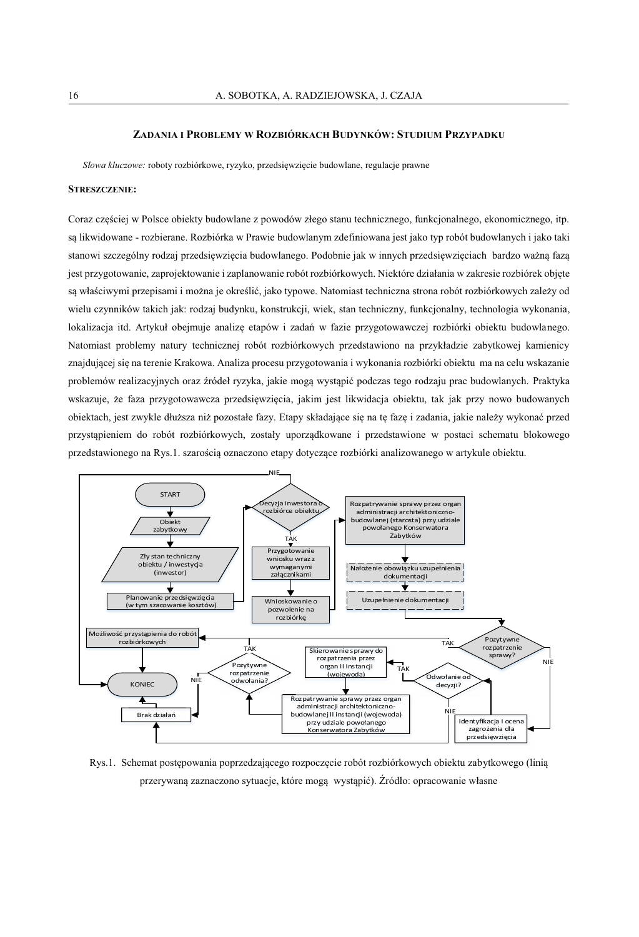#### **ZADANIA I PROBLEMY W ROZBIÓRKACH BUDYNKÓW: STUDIUM PRZYPADKU**

*Słowa kluczowe:* roboty rozbiórkowe, ryzyko, przedsięwzięcie budowlane, regulacje prawne

#### **STRESZCZENIE:**

Coraz częściej w Polsce obiekty budowlane z powodów złego stanu technicznego, funkcjonalnego, ekonomicznego, itp. są likwidowane - rozbierane. Rozbiórka w Prawie budowlanym zdefiniowana jest jako typ robót budowlanych i jako taki stanowi szczególny rodzaj przedsięwzięcia budowlanego. Podobnie jak w innych przedsięwzięciach bardzo ważną fazą jest przygotowanie, zaprojektowanie i zaplanowanie robót rozbiórkowych. Niektóre działania w zakresie rozbiórek objęte są właściwymi przepisami i można je określić, jako typowe. Natomiast techniczna strona robót rozbiórkowych zależy od wielu czynników takich jak: rodzaj budynku, konstrukcji, wiek, stan techniczny, funkcjonalny, technologia wykonania, lokalizacja itd. Artykuł obejmuje analizę etapów i zadań w fazie przygotowawczej rozbiórki obiektu budowlanego. Natomiast problemy natury technicznej robót rozbiórkowych przedstawiono na przykładzie zabytkowej kamienicy znajdującej się na terenie Krakowa. Analiza procesu przygotowania i wykonania rozbiórki obiektu ma na celu wskazanie problemów realizacyjnych oraz źródeł ryzyka, jakie mogą wystąpić podczas tego rodzaju prac budowlanych. Praktyka wskazuje, że faza przygotowawcza przedsięwzięcia, jakim jest likwidacja obiektu, tak jak przy nowo budowanych obiektach, jest zwykle dłuższa niż pozostałe fazy. Etapy składające się na tę fazę i zadania, jakie należy wykonać przed przystąpieniem do robót rozbiórkowych, zostały uporządkowane i przedstawione w postaci schematu blokowego przedstawionego na Rys.1. szarością oznaczono etapy dotyczące rozbiórki analizowanego w artykule obiektu.



Rys.1. Schemat postępowania poprzedzającego rozpoczęcie robót rozbiórkowych obiektu zabytkowego (linią przerywaną zaznaczono sytuacje, które mogą wystąpić). Źródło: opracowanie własne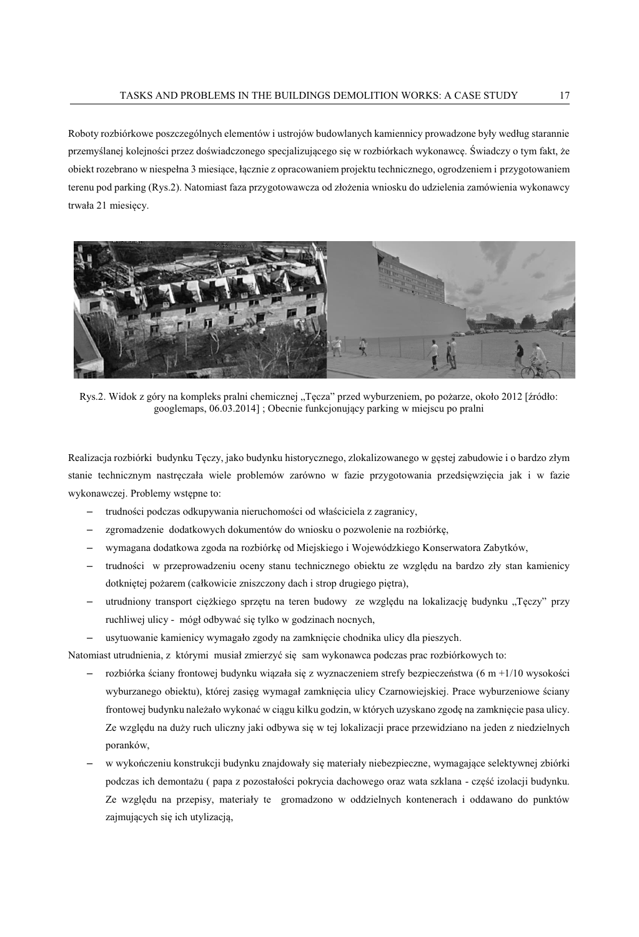Roboty rozbiórkowe poszczególnych elementów i ustrojów budowlanych kamiennicy prowadzone były według starannie przemyślanej kolejności przez doświadczonego specjalizującego się w rozbiórkach wykonawcę. Świadczy o tym fakt, że obiekt rozebrano w niespełna 3 miesiące, łącznie z opracowaniem projektu technicznego, ogrodzeniem i przygotowaniem terenu pod parking (Rys.2). Natomiast faza przygotowawcza od złożenia wniosku do udzielenia zamówienia wykonawcy trwała 21 miesięcy.



Rys.2. Widok z góry na kompleks pralni chemicznej "Tęcza" przed wyburzeniem, po pożarze, około 2012 [źródło: googlemaps, 06.03.2014] ; Obecnie funkcjonujący parking w miejscu po pralni

Realizacja rozbiórki budynku Tęczy, jako budynku historycznego, zlokalizowanego w gęstej zabudowie i o bardzo złym stanie technicznym nastręczała wiele problemów zarówno w fazie przygotowania przedsięwzięcia jak i w fazie wykonawczej. Problemy wstępne to:

- ‒ trudności podczas odkupywania nieruchomości od właściciela z zagranicy,
- ‒ zgromadzenie dodatkowych dokumentów do wniosku o pozwolenie na rozbiórkę,
- ‒ wymagana dodatkowa zgoda na rozbiórkę od Miejskiego i Wojewódzkiego Konserwatora Zabytków,
- ‒ trudności w przeprowadzeniu oceny stanu technicznego obiektu ze względu na bardzo zły stan kamienicy dotkniętej pożarem (całkowicie zniszczony dach i strop drugiego piętra),
- utrudniony transport ciężkiego sprzętu na teren budowy ze względu na lokalizację budynku "Tęczy" przy ruchliwej ulicy - mógł odbywać się tylko w godzinach nocnych,
- ‒ usytuowanie kamienicy wymagało zgody na zamknięcie chodnika ulicy dla pieszych.

Natomiast utrudnienia, z którymi musiał zmierzyć się sam wykonawca podczas prac rozbiórkowych to:

- ‒ rozbiórka ściany frontowej budynku wiązała się z wyznaczeniem strefy bezpieczeństwa (6 m +1/10 wysokości wyburzanego obiektu), której zasięg wymagał zamknięcia ulicy Czarnowiejskiej. Prace wyburzeniowe ściany frontowej budynku należało wykonać w ciągu kilku godzin, w których uzyskano zgodę na zamknięcie pasa ulicy. Ze względu na duży ruch uliczny jaki odbywa się w tej lokalizacji prace przewidziano na jeden z niedzielnych poranków,
- ‒ w wykończeniu konstrukcji budynku znajdowały się materiały niebezpieczne, wymagające selektywnej zbiórki podczas ich demontażu ( papa z pozostałości pokrycia dachowego oraz wata szklana - część izolacji budynku. Ze względu na przepisy, materiały te gromadzono w oddzielnych kontenerach i oddawano do punktów zajmujących się ich utylizacją,